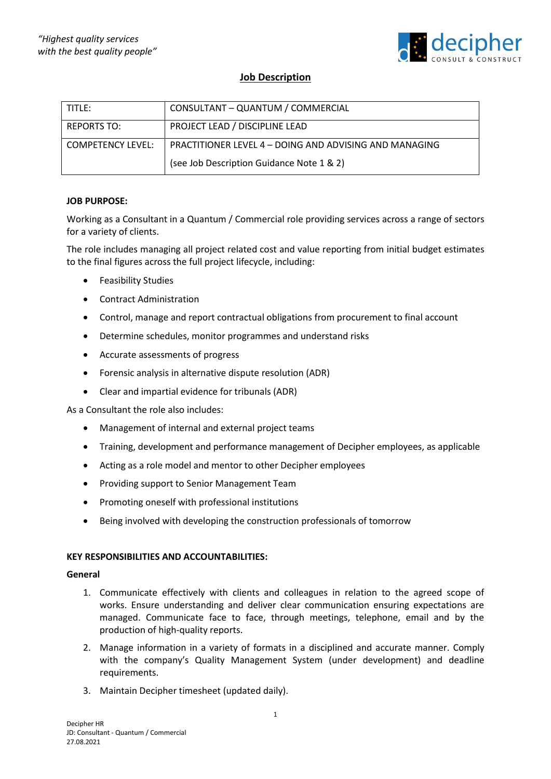

# **Job Description**

| TITLE:                   | CONSULTANT - QUANTUM / COMMERCIAL                      |
|--------------------------|--------------------------------------------------------|
| <b>REPORTS TO:</b>       | PROJECT LEAD / DISCIPLINE LEAD                         |
| <b>COMPETENCY LEVEL:</b> | PRACTITIONER LEVEL 4 – DOING AND ADVISING AND MANAGING |
|                          | (see Job Description Guidance Note 1 & 2)              |

## **JOB PURPOSE:**

Working as a Consultant in a Quantum / Commercial role providing services across a range of sectors for a variety of clients.

The role includes managing all project related cost and value reporting from initial budget estimates to the final figures across the full project lifecycle, including:

- Feasibility Studies
- Contract Administration
- Control, manage and report contractual obligations from procurement to final account
- Determine schedules, monitor programmes and understand risks
- Accurate assessments of progress
- Forensic analysis in alternative dispute resolution (ADR)
- Clear and impartial evidence for tribunals (ADR)

As a Consultant the role also includes:

- Management of internal and external project teams
- Training, development and performance management of Decipher employees, as applicable
- Acting as a role model and mentor to other Decipher employees
- Providing support to Senior Management Team
- Promoting oneself with professional institutions
- Being involved with developing the construction professionals of tomorrow

## **KEY RESPONSIBILITIES AND ACCOUNTABILITIES:**

#### **General**

- 1. Communicate effectively with clients and colleagues in relation to the agreed scope of works. Ensure understanding and deliver clear communication ensuring expectations are managed. Communicate face to face, through meetings, telephone, email and by the production of high-quality reports.
- 2. Manage information in a variety of formats in a disciplined and accurate manner. Comply with the company's Quality Management System (under development) and deadline requirements.
- 3. Maintain Decipher timesheet (updated daily).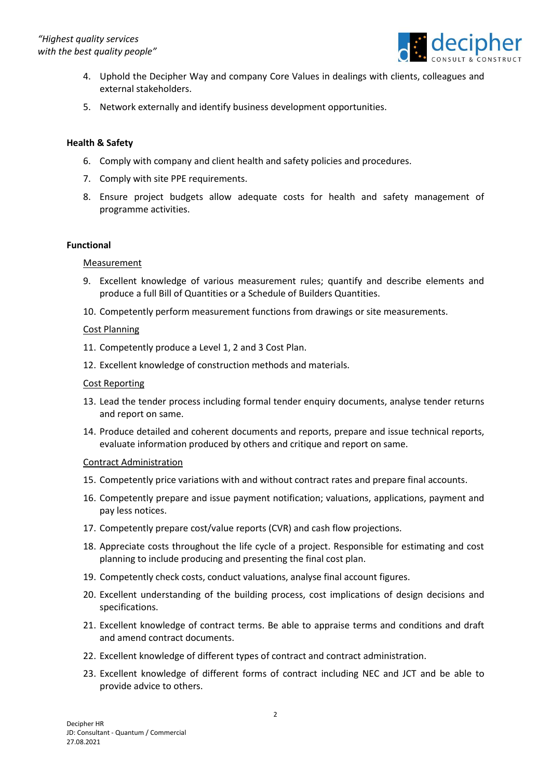

- 4. Uphold the Decipher Way and company Core Values in dealings with clients, colleagues and external stakeholders.
- 5. Network externally and identify business development opportunities.

## **Health & Safety**

- 6. Comply with company and client health and safety policies and procedures.
- 7. Comply with site PPE requirements.
- 8. Ensure project budgets allow adequate costs for health and safety management of programme activities.

## **Functional**

## **Measurement**

- 9. Excellent knowledge of various measurement rules; quantify and describe elements and produce a full Bill of Quantities or a Schedule of Builders Quantities.
- 10. Competently perform measurement functions from drawings or site measurements.

### Cost Planning

- 11. Competently produce a Level 1, 2 and 3 Cost Plan.
- 12. Excellent knowledge of construction methods and materials.

### Cost Reporting

- 13. Lead the tender process including formal tender enquiry documents, analyse tender returns and report on same.
- 14. Produce detailed and coherent documents and reports, prepare and issue technical reports, evaluate information produced by others and critique and report on same.

#### Contract Administration

- 15. Competently price variations with and without contract rates and prepare final accounts.
- 16. Competently prepare and issue payment notification; valuations, applications, payment and pay less notices.
- 17. Competently prepare cost/value reports (CVR) and cash flow projections.
- 18. Appreciate costs throughout the life cycle of a project. Responsible for estimating and cost planning to include producing and presenting the final cost plan.
- 19. Competently check costs, conduct valuations, analyse final account figures.
- 20. Excellent understanding of the building process, cost implications of design decisions and specifications.
- 21. Excellent knowledge of contract terms. Be able to appraise terms and conditions and draft and amend contract documents.
- 22. Excellent knowledge of different types of contract and contract administration.
- 23. Excellent knowledge of different forms of contract including NEC and JCT and be able to provide advice to others.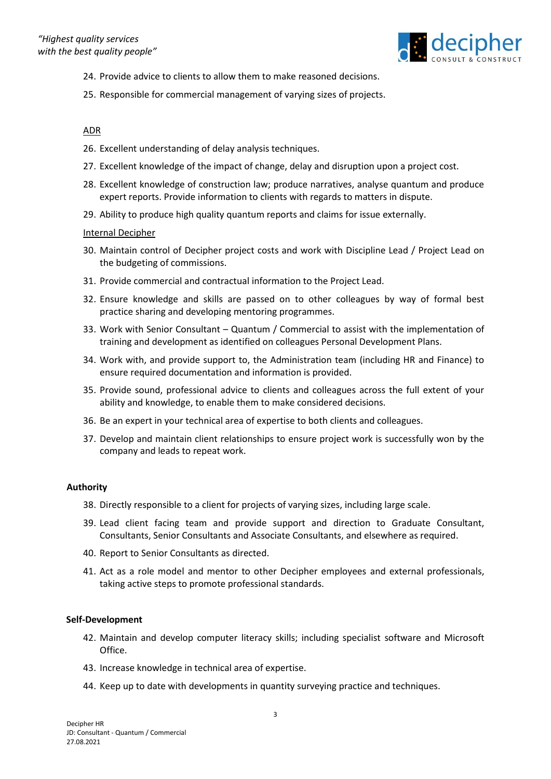

- 24. Provide advice to clients to allow them to make reasoned decisions.
- 25. Responsible for commercial management of varying sizes of projects.

### ADR

- 26. Excellent understanding of delay analysis techniques.
- 27. Excellent knowledge of the impact of change, delay and disruption upon a project cost.
- 28. Excellent knowledge of construction law; produce narratives, analyse quantum and produce expert reports. Provide information to clients with regards to matters in dispute.
- 29. Ability to produce high quality quantum reports and claims for issue externally.

### Internal Decipher

- 30. Maintain control of Decipher project costs and work with Discipline Lead / Project Lead on the budgeting of commissions.
- 31. Provide commercial and contractual information to the Project Lead.
- 32. Ensure knowledge and skills are passed on to other colleagues by way of formal best practice sharing and developing mentoring programmes.
- 33. Work with Senior Consultant Quantum / Commercial to assist with the implementation of training and development as identified on colleagues Personal Development Plans.
- 34. Work with, and provide support to, the Administration team (including HR and Finance) to ensure required documentation and information is provided.
- 35. Provide sound, professional advice to clients and colleagues across the full extent of your ability and knowledge, to enable them to make considered decisions.
- 36. Be an expert in your technical area of expertise to both clients and colleagues.
- 37. Develop and maintain client relationships to ensure project work is successfully won by the company and leads to repeat work.

#### **Authority**

- 38. Directly responsible to a client for projects of varying sizes, including large scale.
- 39. Lead client facing team and provide support and direction to Graduate Consultant, Consultants, Senior Consultants and Associate Consultants, and elsewhere as required.
- 40. Report to Senior Consultants as directed.
- 41. Act as a role model and mentor to other Decipher employees and external professionals, taking active steps to promote professional standards.

#### **Self-Development**

- 42. Maintain and develop computer literacy skills; including specialist software and Microsoft Office.
- 43. Increase knowledge in technical area of expertise.
- 44. Keep up to date with developments in quantity surveying practice and techniques.